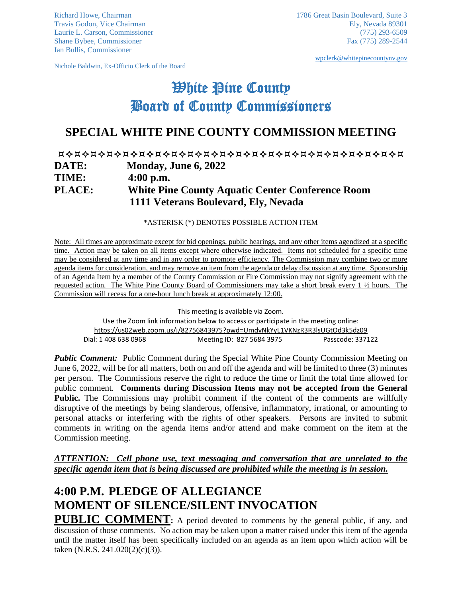Ian Bullis, Commissioner

Nichole Baldwin, Ex-Officio Clerk of the Board

[wpclerk@whitepinecountynv.gov](mailto:wpclerk@whitepinecountynv.gov)

# **White Pine County** Board of County Commissioners

## **SPECIAL WHITE PINE COUNTY COMMISSION MEETING**

### **DATE: Monday, June 6, 2022 TIME: 4:00 p.m. PLACE: White Pine County Aquatic Center Conference Room 1111 Veterans Boulevard, Ely, Nevada**

\*ASTERISK (\*) DENOTES POSSIBLE ACTION ITEM

Note: All times are approximate except for bid openings, public hearings, and any other items agendized at a specific time. Action may be taken on all items except where otherwise indicated. Items not scheduled for a specific time may be considered at any time and in any order to promote efficiency. The Commission may combine two or more agenda items for consideration, and may remove an item from the agenda or delay discussion at any time. Sponsorship of an Agenda Item by a member of the County Commission or Fire Commission may not signify agreement with the requested action. The White Pine County Board of Commissioners may take a short break every 1 ½ hours. The Commission will recess for a one-hour lunch break at approximately 12:00.

This meeting is available via Zoom.

Use the Zoom link information below to access or participate in the meeting online: <https://us02web.zoom.us/j/82756843975?pwd=UmdvNkYyL1VKNzR3R3lsUGtOd3k5dz09> Dial: 1 408 638 0968 Meeting ID: 827 5684 3975 Passcode: 337122

*Public Comment:* Public Comment during the Special White Pine County Commission Meeting on June 6, 2022, will be for all matters, both on and off the agenda and will be limited to three (3) minutes per person. The Commissions reserve the right to reduce the time or limit the total time allowed for public comment. **Comments during Discussion Items may not be accepted from the General Public.** The Commissions may prohibit comment if the content of the comments are willfully disruptive of the meetings by being slanderous, offensive, inflammatory, irrational, or amounting to personal attacks or interfering with the rights of other speakers. Persons are invited to submit comments in writing on the agenda items and/or attend and make comment on the item at the Commission meeting.

#### *ATTENTION: Cell phone use, text messaging and conversation that are unrelated to the specific agenda item that is being discussed are prohibited while the meeting is in session.*

## **4:00 P.M. PLEDGE OF ALLEGIANCE MOMENT OF SILENCE/SILENT INVOCATION**

**PUBLIC COMMENT:** A period devoted to comments by the general public, if any, and discussion of those comments. No action may be taken upon a matter raised under this item of the agenda until the matter itself has been specifically included on an agenda as an item upon which action will be taken (N.R.S. 241.020(2)(c)(3)).